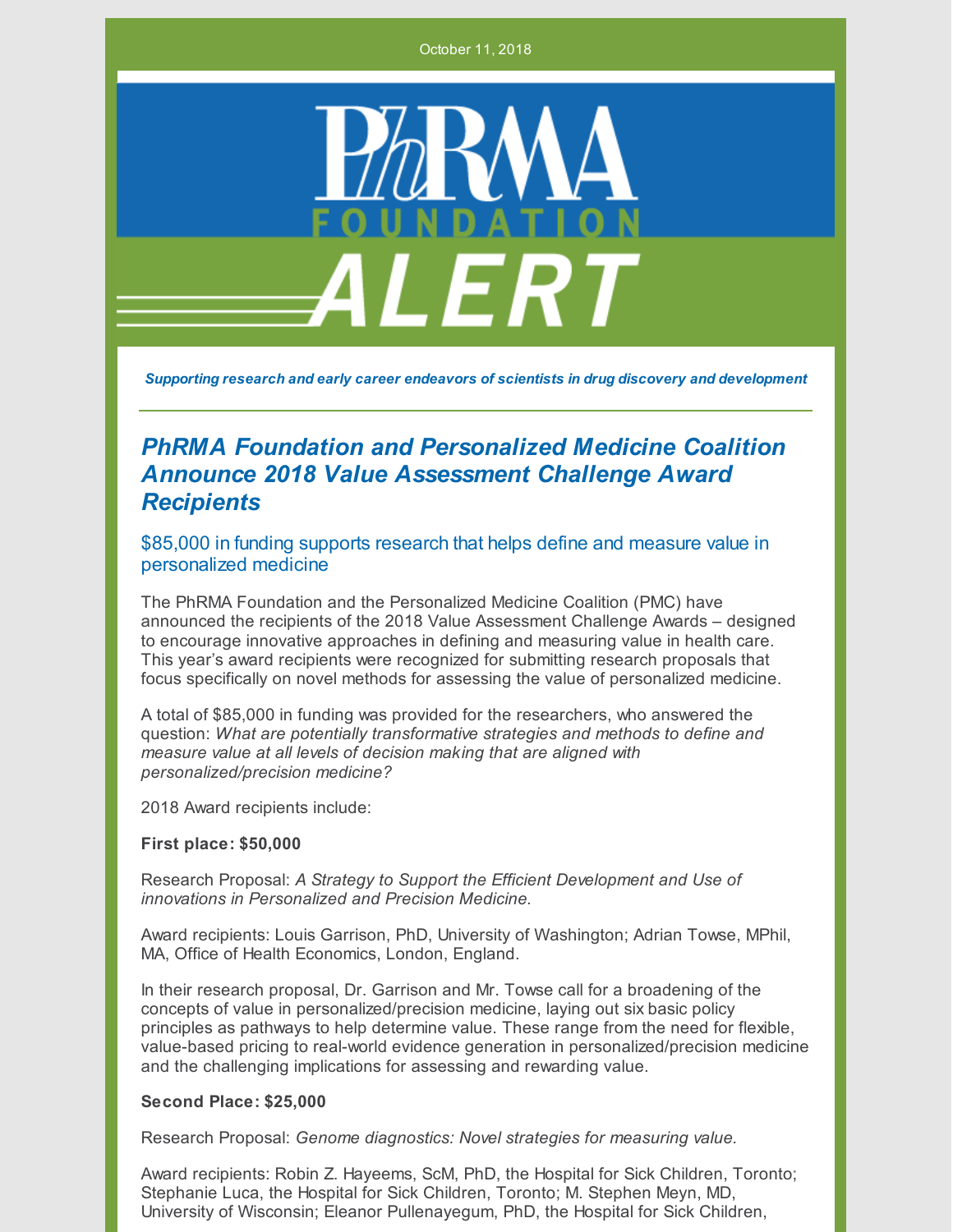October 11, 2018



*Supporting research and early career endeavors of scientists in drug discovery and development*

## *PhRMA Foundation and Personalized Medicine Coalition Announce 2018 Value Assessment Challenge Award Recipients*

\$85,000 in funding supports research that helps define and measure value in personalized medicine

The PhRMA Foundation and the Personalized Medicine Coalition (PMC) have announced the recipients of the 2018 Value Assessment Challenge Awards – designed to encourage innovative approaches in defining and measuring value in health care. This year's award recipients were recognized for submitting research proposals that focus specifically on novel methods for assessing the value of personalized medicine.

A total of \$85,000 in funding was provided for the researchers, who answered the question: *What are potentially transformative strategies and methods to define and measure value at all levels of decision making that are aligned with personalized/precision medicine?*

2018 Award recipients include:

## **First place: \$50,000**

Research Proposal: *A Strategy to Support the Efficient Development and Use of innovations in Personalized and Precision Medicine.*

Award recipients: Louis Garrison, PhD, University of Washington; Adrian Towse, MPhil, MA, Office of Health Economics, London, England.

In their research proposal, Dr. Garrison and Mr. Towse call for a broadening of the concepts of value in personalized/precision medicine, laying out six basic policy principles as pathways to help determine value. These range from the need for flexible, value-based pricing to real-world evidence generation in personalized/precision medicine and the challenging implications for assessing and rewarding value.

## **Second Place: \$25,000**

Research Proposal: *Genome diagnostics: Novel strategies for measuring value.*

Award recipients: Robin Z. Hayeems, ScM, PhD, the Hospital for Sick Children, Toronto; Stephanie Luca, the Hospital for Sick Children, Toronto; M. Stephen Meyn, MD, University of Wisconsin; Eleanor Pullenayegum, PhD, the Hospital for Sick Children,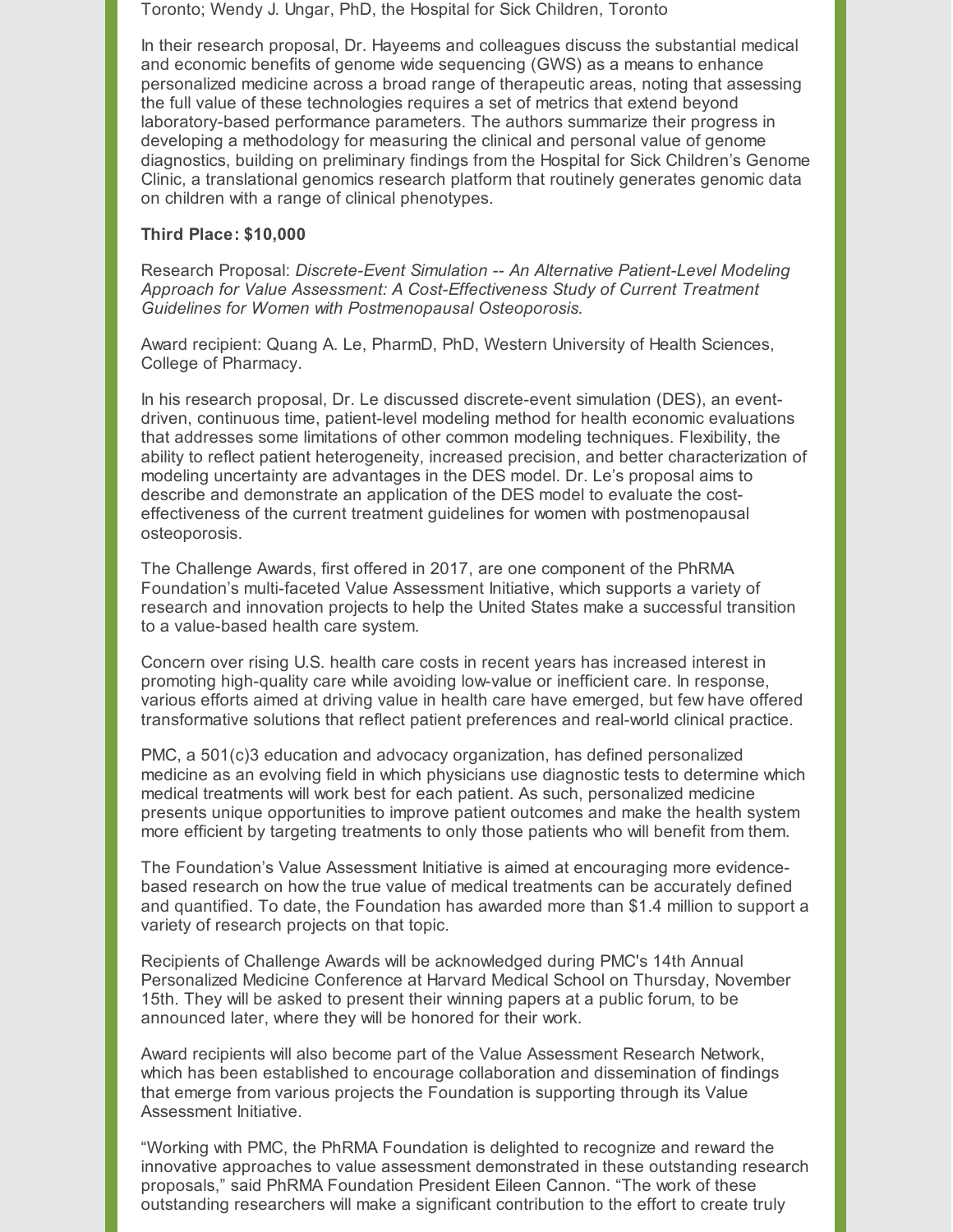Toronto; Wendy J. Ungar, PhD, the Hospital for Sick Children, Toronto

In their research proposal, Dr. Hayeems and colleagues discuss the substantial medical and economic benefits of genome wide sequencing (GWS) as a means to enhance personalized medicine across a broad range of therapeutic areas, noting that assessing the full value of these technologies requires a set of metrics that extend beyond laboratory-based performance parameters. The authors summarize their progress in developing a methodology for measuring the clinical and personal value of genome diagnostics, building on preliminary findings from the Hospital for Sick Children's Genome Clinic, a translational genomics research platform that routinely generates genomic data on children with a range of clinical phenotypes.

## **Third Place: \$10,000**

Research Proposal: *Discrete-Event Simulation -- An Alternative Patient-Level Modeling Approach for Value Assessment: A Cost-Effectiveness Study of Current Treatment Guidelines for Women with Postmenopausal Osteoporosis.*

Award recipient: Quang A. Le, PharmD, PhD, Western University of Health Sciences, College of Pharmacy.

In his research proposal, Dr. Le discussed discrete-event simulation (DES), an eventdriven, continuous time, patient-level modeling method for health economic evaluations that addresses some limitations of other common modeling techniques. Flexibility, the ability to reflect patient heterogeneity, increased precision, and better characterization of modeling uncertainty are advantages in the DES model. Dr. Le's proposal aims to describe and demonstrate an application of the DES model to evaluate the costeffectiveness of the current treatment guidelines for women with postmenopausal osteoporosis.

The Challenge Awards, first offered in 2017, are one component of the PhRMA Foundation's multi-faceted Value Assessment Initiative, which supports a variety of research and innovation projects to help the United States make a successful transition to a value-based health care system.

Concern over rising U.S. health care costs in recent years has increased interest in promoting high-quality care while avoiding low-value or inefficient care. In response, various efforts aimed at driving value in health care have emerged, but few have offered transformative solutions that reflect patient preferences and real-world clinical practice.

PMC, a 501(c)3 education and advocacy organization, has defined personalized medicine as an evolving field in which physicians use diagnostic tests to determine which medical treatments will work best for each patient. As such, personalized medicine presents unique opportunities to improve patient outcomes and make the health system more efficient by targeting treatments to only those patients who will benefit from them.

The Foundation's Value Assessment Initiative is aimed at encouraging more evidencebased research on how the true value of medical treatments can be accurately defined and quantified. To date, the Foundation has awarded more than \$1.4 million to support a variety of research projects on that topic.

Recipients of Challenge Awards will be acknowledged during PMC's 14th Annual Personalized Medicine Conference at Harvard Medical School on Thursday, November 15th. They will be asked to present their winning papers at a public forum, to be announced later, where they will be honored for their work.

Award recipients will also become part of the Value Assessment Research Network, which has been established to encourage collaboration and dissemination of findings that emerge from various projects the Foundation is supporting through its Value Assessment Initiative.

"Working with PMC, the PhRMA Foundation is delighted to recognize and reward the innovative approaches to value assessment demonstrated in these outstanding research proposals," said PhRMA Foundation President Eileen Cannon. "The work of these outstanding researchers will make a significant contribution to the effort to create truly